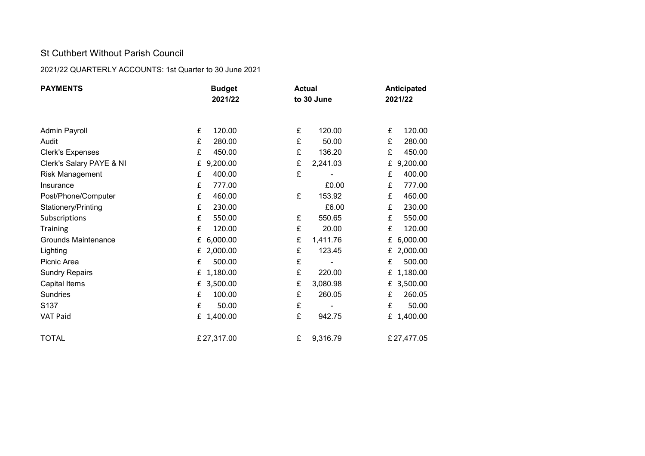## St Cuthbert Without Parish Council

## 2021/22 QUARTERLY ACCOUNTS: 1st Quarter to 30 June 2021

| <b>PAYMENTS</b>            | <b>Budget</b><br>2021/22 | <b>Actual</b> | Anticipated<br>2021/22 |
|----------------------------|--------------------------|---------------|------------------------|
|                            |                          | to 30 June    |                        |
|                            |                          |               |                        |
| <b>Admin Payroll</b>       | £                        | £             | £                      |
|                            | 120.00                   | 120.00        | 120.00                 |
| Audit                      | £                        | £             | £                      |
|                            | 280.00                   | 50.00         | 280.00                 |
| <b>Clerk's Expenses</b>    | £                        | £             | £                      |
|                            | 450.00                   | 136.20        | 450.00                 |
| Clerk's Salary PAYE & NI   | 9,200.00                 | £             | 9,200.00               |
|                            | £                        | 2,241.03      | £                      |
| Risk Management            | £<br>400.00              | £             | 400.00<br>£            |
| Insurance                  | £<br>777.00              | £0.00         | 777.00<br>£            |
| Post/Phone/Computer        | 460.00                   | £             | 460.00                 |
|                            | £                        | 153.92        | £                      |
| Stationery/Printing        | £<br>230.00              | £6.00         | 230.00<br>£            |
| Subscriptions              | £                        | £             | 550.00                 |
|                            | 550.00                   | 550.65        | £                      |
| <b>Training</b>            | £                        | £             | 120.00                 |
|                            | 120.00                   | 20.00         | £                      |
| <b>Grounds Maintenance</b> | 6,000.00                 | £             | 6,000.00               |
|                            | £                        | 1,411.76      | £                      |
| Lighting                   | 2,000.00                 | £             | 2,000.00               |
|                            | £                        | 123.45        | £                      |
| Picnic Area                | 500.00<br>£              | £             | 500.00<br>£            |
| <b>Sundry Repairs</b>      | 1,180.00                 | £             | 1,180.00               |
|                            | £                        | 220.00        | £                      |
| Capital Items              | 3,500.00                 | £             | 3,500.00               |
|                            | £                        | 3,080.98      | £                      |
| Sundries                   | 100.00                   | £             | 260.05                 |
|                            | £                        | 260.05        | £                      |
| S <sub>137</sub>           | £<br>50.00               | £             | £<br>50.00             |
| VAT Paid                   | 1,400.00                 | £             | 1,400.00               |
|                            | £                        | 942.75        | £                      |
| <b>TOTAL</b>               | £27,317.00               | £<br>9,316.79 | £27,477.05             |